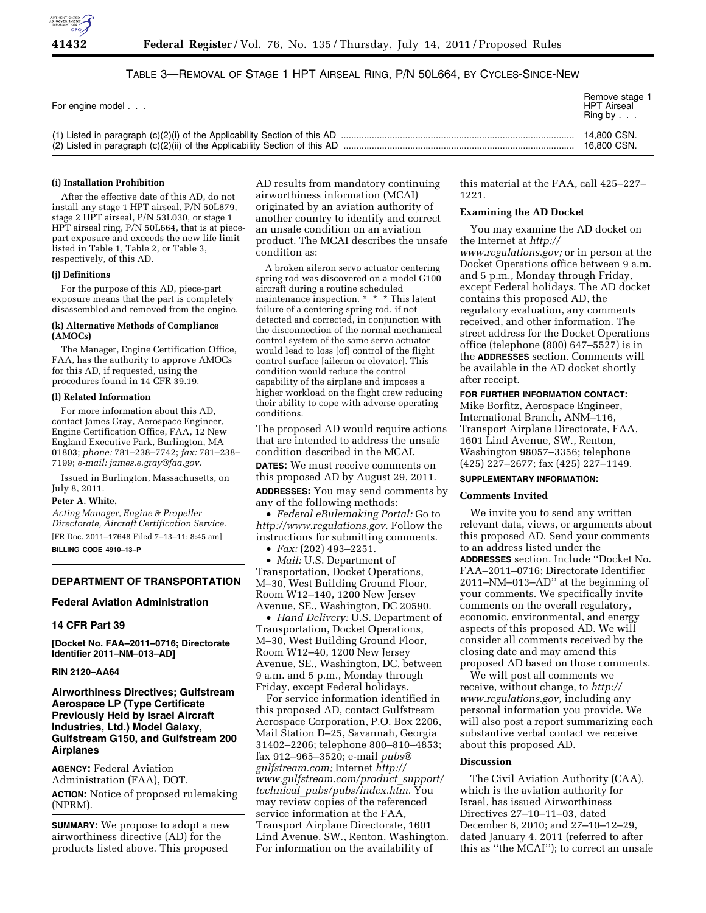

# TABLE 3—REMOVAL OF STAGE 1 HPT AIRSEAL RING, P/N 50L664, BY CYCLES-SINCE-NEW

| For engine model | Remove stage 1<br><b>HPT Airseal</b><br>Ring by $\ldots$ |
|------------------|----------------------------------------------------------|
|                  | 14.800 CSN.                                              |
|                  | 16.800 CSN.                                              |

### **(i) Installation Prohibition**

After the effective date of this AD, do not install any stage 1 HPT airseal, P/N 50L879, stage 2 HPT airseal, P/N 53L030, or stage 1 HPT airseal ring, P/N 50L664, that is at piecepart exposure and exceeds the new life limit listed in Table 1, Table 2, or Table 3, respectively, of this AD.

#### **(j) Definitions**

For the purpose of this AD, piece-part exposure means that the part is completely disassembled and removed from the engine.

## **(k) Alternative Methods of Compliance (AMOCs)**

The Manager, Engine Certification Office, FAA, has the authority to approve AMOCs for this AD, if requested, using the procedures found in 14 CFR 39.19.

## **(l) Related Information**

For more information about this AD, contact James Gray, Aerospace Engineer, Engine Certification Office, FAA, 12 New England Executive Park, Burlington, MA 01803; *phone:* 781–238–7742; *fax:* 781–238– 7199; *e-mail: [james.e.gray@faa.gov.](mailto:james.e.gray@faa.gov)* 

Issued in Burlington, Massachusetts, on July 8, 2011.

#### **Peter A. White,**

*Acting Manager, Engine & Propeller Directorate, Aircraft Certification Service.*  [FR Doc. 2011–17648 Filed 7–13–11; 8:45 am] **BILLING CODE 4910–13–P** 

# **DEPARTMENT OF TRANSPORTATION**

### **Federal Aviation Administration**

#### **14 CFR Part 39**

**[Docket No. FAA–2011–0716; Directorate Identifier 2011–NM–013–AD]** 

## **RIN 2120–AA64**

**Airworthiness Directives; Gulfstream Aerospace LP (Type Certificate Previously Held by Israel Aircraft Industries, Ltd.) Model Galaxy, Gulfstream G150, and Gulfstream 200 Airplanes** 

**AGENCY:** Federal Aviation Administration (FAA), DOT. **ACTION:** Notice of proposed rulemaking (NPRM).

**SUMMARY:** We propose to adopt a new airworthiness directive (AD) for the products listed above. This proposed

AD results from mandatory continuing airworthiness information (MCAI) originated by an aviation authority of another country to identify and correct an unsafe condition on an aviation product. The MCAI describes the unsafe condition as:

A broken aileron servo actuator centering spring rod was discovered on a model G100 aircraft during a routine scheduled maintenance inspection. \* \* \* This latent failure of a centering spring rod, if not detected and corrected, in conjunction with the disconnection of the normal mechanical control system of the same servo actuator would lead to loss [of] control of the flight control surface [aileron or elevator]. This condition would reduce the control capability of the airplane and imposes a higher workload on the flight crew reducing their ability to cope with adverse operating conditions.

The proposed AD would require actions that are intended to address the unsafe condition described in the MCAI.

**DATES:** We must receive comments on this proposed AD by August 29, 2011.

**ADDRESSES:** You may send comments by any of the following methods:

• *Federal eRulemaking Portal:* Go to *[http://www.regulations.gov.](http://www.regulations.gov)* Follow the instructions for submitting comments.

• *Fax:* (202) 493–2251.

• *Mail:* U.S. Department of Transportation, Docket Operations, M–30, West Building Ground Floor, Room W12–140, 1200 New Jersey Avenue, SE., Washington, DC 20590.

• *Hand Delivery:* U.S. Department of Transportation, Docket Operations, M–30, West Building Ground Floor, Room W12–40, 1200 New Jersey Avenue, SE., Washington, DC, between 9 a.m. and 5 p.m., Monday through Friday, except Federal holidays.

For service information identified in this proposed AD, contact Gulfstream Aerospace Corporation, P.O. Box 2206, Mail Station D–25, Savannah, Georgia 31402–2206; telephone 800–810–4853; fax 912–965–3520; e-mail *[pubs@](mailto:pubs@gulfstream.com) [gulfstream.com;](mailto:pubs@gulfstream.com)* Internet *[http://](http://www.gulfstream.com/product_support/technical_pubs/pubs/index.htm) [www.gulfstream.com/product](http://www.gulfstream.com/product_support/technical_pubs/pubs/index.htm)*\_*support/ technical*\_*[pubs/pubs/index.htm.](http://www.gulfstream.com/product_support/technical_pubs/pubs/index.htm)* You may review copies of the referenced service information at the FAA, Transport Airplane Directorate, 1601 Lind Avenue, SW., Renton, Washington. For information on the availability of

this material at the FAA, call 425–227– 1221.

## **Examining the AD Docket**

You may examine the AD docket on the Internet at *[http://](http://www.regulations.gov)  [www.regulations.gov;](http://www.regulations.gov)* or in person at the Docket Operations office between 9 a.m. and 5 p.m., Monday through Friday, except Federal holidays. The AD docket contains this proposed AD, the regulatory evaluation, any comments received, and other information. The street address for the Docket Operations office (telephone (800) 647–5527) is in the **ADDRESSES** section. Comments will be available in the AD docket shortly after receipt.

## **FOR FURTHER INFORMATION CONTACT:**

Mike Borfitz, Aerospace Engineer, International Branch, ANM–116, Transport Airplane Directorate, FAA, 1601 Lind Avenue, SW., Renton, Washington 98057–3356; telephone (425) 227–2677; fax (425) 227–1149.

## **SUPPLEMENTARY INFORMATION:**

## **Comments Invited**

We invite you to send any written relevant data, views, or arguments about this proposed AD. Send your comments to an address listed under the **ADDRESSES** section. Include ''Docket No. FAA–2011–0716; Directorate Identifier 2011–NM–013–AD'' at the beginning of your comments. We specifically invite comments on the overall regulatory, economic, environmental, and energy aspects of this proposed AD. We will consider all comments received by the closing date and may amend this proposed AD based on those comments.

We will post all comments we receive, without change, to *[http://](http://www.regulations.gov) [www.regulations.gov,](http://www.regulations.gov)* including any personal information you provide. We will also post a report summarizing each substantive verbal contact we receive about this proposed AD.

## **Discussion**

The Civil Aviation Authority (CAA), which is the aviation authority for Israel, has issued Airworthiness Directives 27–10–11–03, dated December 6, 2010; and 27–10–12–29, dated January 4, 2011 (referred to after this as ''the MCAI''); to correct an unsafe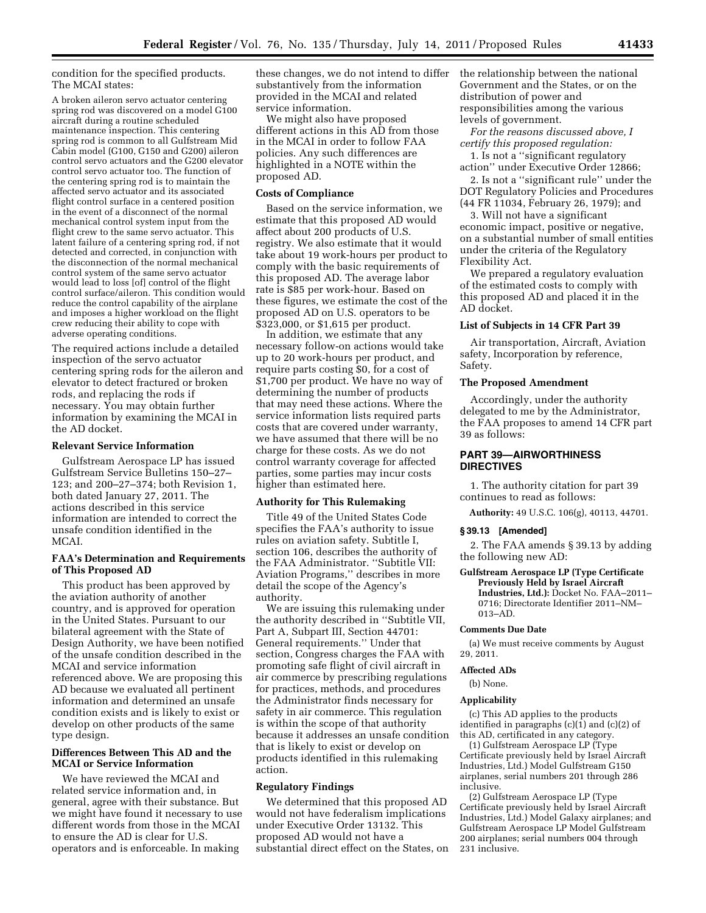condition for the specified products. The MCAI states:

A broken aileron servo actuator centering spring rod was discovered on a model G100 aircraft during a routine scheduled maintenance inspection. This centering spring rod is common to all Gulfstream Mid Cabin model (G100, G150 and G200) aileron control servo actuators and the G200 elevator control servo actuator too. The function of the centering spring rod is to maintain the affected servo actuator and its associated flight control surface in a centered position in the event of a disconnect of the normal mechanical control system input from the flight crew to the same servo actuator. This latent failure of a centering spring rod, if not detected and corrected, in conjunction with the disconnection of the normal mechanical control system of the same servo actuator would lead to loss [of] control of the flight control surface/aileron. This condition would reduce the control capability of the airplane and imposes a higher workload on the flight crew reducing their ability to cope with adverse operating conditions.

The required actions include a detailed inspection of the servo actuator centering spring rods for the aileron and elevator to detect fractured or broken rods, and replacing the rods if necessary. You may obtain further information by examining the MCAI in the AD docket.

## **Relevant Service Information**

Gulfstream Aerospace LP has issued Gulfstream Service Bulletins 150–27– 123; and 200–27–374; both Revision 1, both dated January 27, 2011. The actions described in this service information are intended to correct the unsafe condition identified in the MCAI.

## **FAA's Determination and Requirements of This Proposed AD**

This product has been approved by the aviation authority of another country, and is approved for operation in the United States. Pursuant to our bilateral agreement with the State of Design Authority, we have been notified of the unsafe condition described in the MCAI and service information referenced above. We are proposing this AD because we evaluated all pertinent information and determined an unsafe condition exists and is likely to exist or develop on other products of the same type design.

# **Differences Between This AD and the MCAI or Service Information**

We have reviewed the MCAI and related service information and, in general, agree with their substance. But we might have found it necessary to use different words from those in the MCAI to ensure the AD is clear for U.S. operators and is enforceable. In making

these changes, we do not intend to differ substantively from the information provided in the MCAI and related service information.

We might also have proposed different actions in this AD from those in the MCAI in order to follow FAA policies. Any such differences are highlighted in a NOTE within the proposed AD.

### **Costs of Compliance**

Based on the service information, we estimate that this proposed AD would affect about 200 products of U.S. registry. We also estimate that it would take about 19 work-hours per product to comply with the basic requirements of this proposed AD. The average labor rate is \$85 per work-hour. Based on these figures, we estimate the cost of the proposed AD on U.S. operators to be \$323,000, or \$1,615 per product.

In addition, we estimate that any necessary follow-on actions would take up to 20 work-hours per product, and require parts costing \$0, for a cost of \$1,700 per product. We have no way of determining the number of products that may need these actions. Where the service information lists required parts costs that are covered under warranty, we have assumed that there will be no charge for these costs. As we do not control warranty coverage for affected parties, some parties may incur costs higher than estimated here.

## **Authority for This Rulemaking**

Title 49 of the United States Code specifies the FAA's authority to issue rules on aviation safety. Subtitle I, section 106, describes the authority of the FAA Administrator. ''Subtitle VII: Aviation Programs,'' describes in more detail the scope of the Agency's authority.

We are issuing this rulemaking under the authority described in ''Subtitle VII, Part A, Subpart III, Section 44701: General requirements.'' Under that section, Congress charges the FAA with promoting safe flight of civil aircraft in air commerce by prescribing regulations for practices, methods, and procedures the Administrator finds necessary for safety in air commerce. This regulation is within the scope of that authority because it addresses an unsafe condition that is likely to exist or develop on products identified in this rulemaking action.

#### **Regulatory Findings**

We determined that this proposed AD would not have federalism implications under Executive Order 13132. This proposed AD would not have a substantial direct effect on the States, on the relationship between the national Government and the States, or on the distribution of power and responsibilities among the various levels of government.

*For the reasons discussed above, I certify this proposed regulation:* 

1. Is not a ''significant regulatory action'' under Executive Order 12866;

2. Is not a ''significant rule'' under the DOT Regulatory Policies and Procedures (44 FR 11034, February 26, 1979); and

3. Will not have a significant economic impact, positive or negative, on a substantial number of small entities under the criteria of the Regulatory Flexibility Act.

We prepared a regulatory evaluation of the estimated costs to comply with this proposed AD and placed it in the AD docket.

#### **List of Subjects in 14 CFR Part 39**

Air transportation, Aircraft, Aviation safety, Incorporation by reference, Safety.

## **The Proposed Amendment**

Accordingly, under the authority delegated to me by the Administrator, the FAA proposes to amend 14 CFR part 39 as follows:

## **PART 39—AIRWORTHINESS DIRECTIVES**

1. The authority citation for part 39 continues to read as follows:

**Authority:** 49 U.S.C. 106(g), 40113, 44701.

## **§ 39.13 [Amended]**

2. The FAA amends § 39.13 by adding the following new AD:

**Gulfstream Aerospace LP (Type Certificate Previously Held by Israel Aircraft Industries, Ltd.):** Docket No. FAA–2011– 0716; Directorate Identifier 2011–NM– 013–AD.

### **Comments Due Date**

(a) We must receive comments by August 29, 2011.

## **Affected ADs**

(b) None.

### **Applicability**

(c) This AD applies to the products identified in paragraphs  $(c)(1)$  and  $(c)(2)$  of this AD, certificated in any category.

(1) Gulfstream Aerospace LP (Type Certificate previously held by Israel Aircraft Industries, Ltd.) Model Gulfstream G150 airplanes, serial numbers 201 through 286 inclusive.

(2) Gulfstream Aerospace LP (Type Certificate previously held by Israel Aircraft Industries, Ltd.) Model Galaxy airplanes; and Gulfstream Aerospace LP Model Gulfstream 200 airplanes; serial numbers 004 through 231 inclusive.